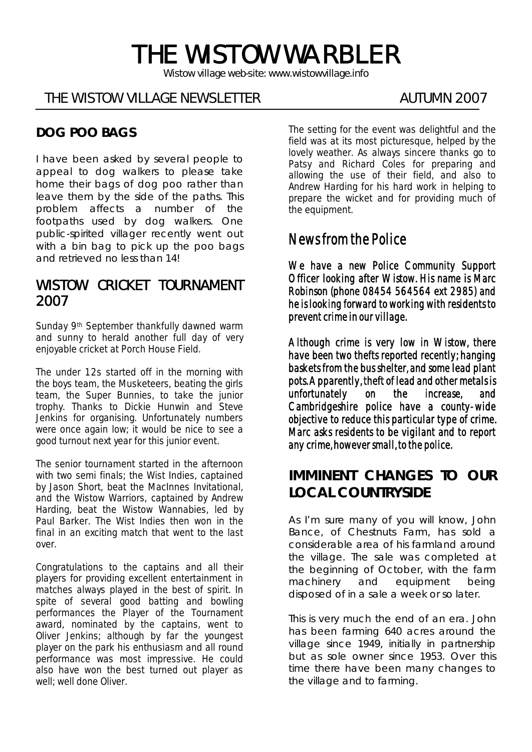# THE WISTOW WARBLER

*Wistow village web-site: www.wistowvillage.info* 

ī

# THE WISTOW VILLAGE NEWSLETTER THE MUTUMN 2007

## **DOG POO BAGS**

I have been asked by several people to appeal to dog walkers to please take home their bags of dog poo rather than leave them by the side of the paths. This problem affects a number of the footpaths used by dog walkers. One public-spirited villager recently went out with a bin bag to pick up the poo bags and retrieved no less than 14!

### WISTOW CRICKET TOURNAMENT 2007

Sunday 9th September thankfully dawned warm and sunny to herald another full day of very enjoyable cricket at Porch House Field.

The under 12s started off in the morning with the boys team, the Musketeers, beating the girls team, the Super Bunnies, to take the junior trophy. Thanks to Dickie Hunwin and Steve Jenkins for organising. Unfortunately numbers were once again low; it would be nice to see a good turnout next year for this junior event.

The senior tournament started in the afternoon with two semi finals; the Wist Indies, captained by Jason Short, beat the MacInnes Invitational, and the Wistow Warriors, captained by Andrew Harding, beat the Wistow Wannabies, led by Paul Barker. The Wist Indies then won in the final in an exciting match that went to the last over.

Congratulations to the captains and all their players for providing excellent entertainment in matches always played in the best of spirit. In spite of several good batting and bowling performances the Player of the Tournament award, nominated by the captains, went to Oliver Jenkins; although by far the youngest player on the park his enthusiasm and all round performance was most impressive. He could also have won the best turned out player as well; well done Oliver.

The setting for the event was delightful and the field was at its most picturesque, helped by the lovely weather. As always sincere thanks go to Patsy and Richard Coles for preparing and allowing the use of their field, and also to Andrew Harding for his hard work in helping to prepare the wicket and for providing much of the equipment.

# News from the Police

We have a new Police Community Support Officer looking after Wistow. His name is Marc Robinson (phone 08454 564564 ext 2985) and he is looking forward to working with residents to prevent crime in our village.

Although crime is very low in Wistow, there have been two thefts reported recently; hanging baskets from the bus shelter, and some lead plant pots. Apparently, theft of lead and other metals is unfortunately on the increase, and Cambridgeshire police have a county-wide objective to reduce this particular type of crime. Marc asks residents to be vigilant and to report any crime, however small, to the police.

# **IMMINENT CHANGES TO OUR LOCAL COUNTRYSIDE**

As I'm sure many of you will know, John Bance, of Chestnuts Farm, has sold a considerable area of his farmland around the village. The sale was completed at the beginning of October, with the farm machinery and equipment being disposed of in a sale a week or so later.

This is very much the end of an era. John has been farming 640 acres around the village since 1949, initially in partnership but as sole owner since 1953. Over this time there have been many changes to the village and to farming.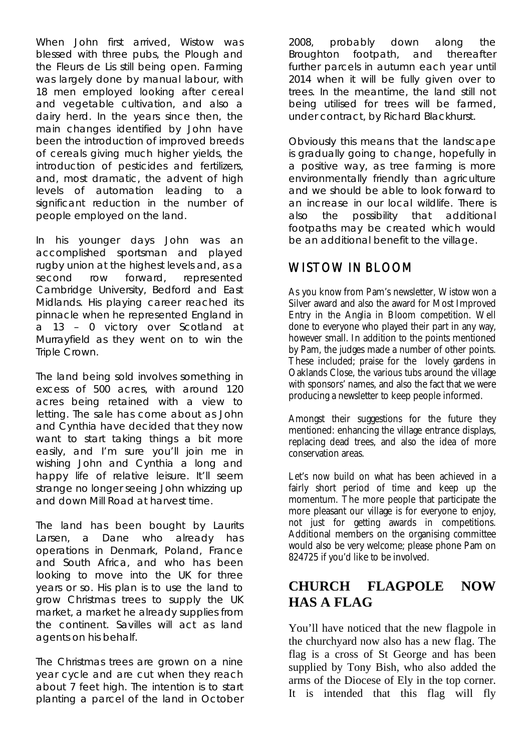When John first arrived, Wistow was blessed with three pubs, the Plough and the Fleurs de Lis still being open. Farming was largely done by manual labour, with 18 men employed looking after cereal and vegetable cultivation, and also a dairy herd. In the years since then, the main changes identified by John have been the introduction of improved breeds of cereals giving much higher yields, the introduction of pesticides and fertilizers, and, most dramatic, the advent of high levels of automation leading to a significant reduction in the number of people employed on the land.

In his younger days John was an accomplished sportsman and played rugby union at the highest levels and, as a second row forward, represented Cambridge University, Bedford and East Midlands. His playing career reached its pinnacle when he represented England in a 13 – 0 victory over Scotland at Murrayfield as they went on to win the Triple Crown.

The land being sold involves something in excess of 500 acres, with around 120 acres being retained with a view to letting. The sale has come about as John and Cynthia have decided that they now want to start taking things a bit more easily, and I'm sure you'll join me in wishing John and Cynthia a long and happy life of relative leisure. It'll seem strange no longer seeing John whizzing up and down Mill Road at harvest time.

The land has been bought by Laurits Larsen, a Dane who already has operations in Denmark, Poland, France and South Africa, and who has been looking to move into the UK for three years or so. His plan is to use the land to grow Christmas trees to supply the UK market, a market he already supplies from the continent. Savilles will act as land agents on his behalf.

The Christmas trees are grown on a nine year cycle and are cut when they reach about 7 feet high. The intention is to start planting a parcel of the land in October 2008, probably down along the Broughton footpath, and thereafter further parcels in autumn each year until 2014 when it will be fully given over to trees. In the meantime, the land still not being utilised for trees will be farmed, under contract, by Richard Blackhurst.

Obviously this means that the landscape is gradually going to change, hopefully in a positive way, as tree farming is more environmentally friendly than agriculture and we should be able to look forward to an increase in our local wildlife. There is also the possibility that additional footpaths may be created which would be an additional benefit to the village.

### WISTOW IN BLOOM

As you know from Pam's newsletter, Wistow won a Silver award and also the award for Most Improved Entry in the Anglia in Bloom competition. Well done to everyone who played their part in any way, however small. In addition to the points mentioned by Pam, the judges made a number of other points. These included; praise for the lovely gardens in Oaklands Close, the various tubs around the village with sponsors' names, and also the fact that we were producing a newsletter to keep people informed.

Amongst their suggestions for the future they mentioned: enhancing the village entrance displays, replacing dead trees, and also the idea of more conservation areas.

Let's now build on what has been achieved in a fairly short period of time and keep up the momentum. The more people that participate the more pleasant our village is for everyone to enjoy, not just for getting awards in competitions. Additional members on the organising committee would also be very welcome; please phone Pam on 824725 if you'd like to be involved.

# **CHURCH FLAGPOLE NOW HAS A FLAG**

You'll have noticed that the new flagpole in the churchyard now also has a new flag. The flag is a cross of St George and has been supplied by Tony Bish, who also added the arms of the Diocese of Ely in the top corner. It is intended that this flag will fly